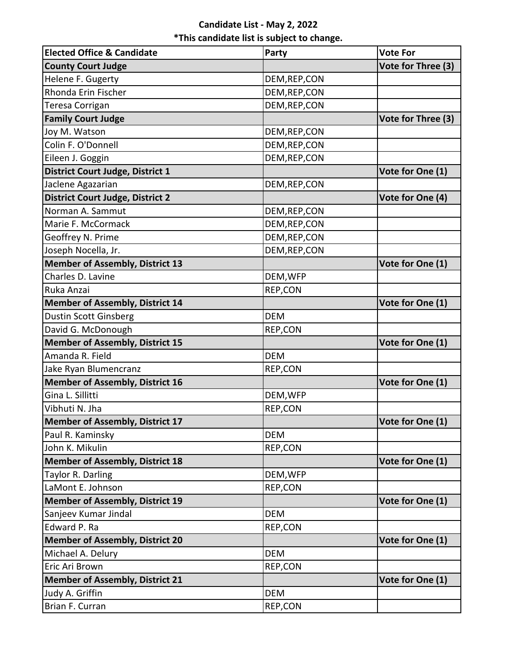## **Candidate List - May 2, 2022 \*This candidate list is subject to change.**

| <b>Elected Office &amp; Candidate</b>   | Party         | <b>Vote For</b>    |
|-----------------------------------------|---------------|--------------------|
| <b>County Court Judge</b>               |               | Vote for Three (3) |
| Helene F. Gugerty                       | DEM, REP, CON |                    |
| Rhonda Erin Fischer                     | DEM, REP, CON |                    |
| Teresa Corrigan                         | DEM, REP, CON |                    |
| <b>Family Court Judge</b>               |               | Vote for Three (3) |
| Joy M. Watson                           | DEM, REP, CON |                    |
| Colin F. O'Donnell                      | DEM, REP, CON |                    |
| Eileen J. Goggin                        | DEM, REP, CON |                    |
| <b>District Court Judge, District 1</b> |               | Vote for One (1)   |
| Jaclene Agazarian                       | DEM, REP, CON |                    |
| <b>District Court Judge, District 2</b> |               | Vote for One (4)   |
| Norman A. Sammut                        | DEM, REP, CON |                    |
| Marie F. McCormack                      | DEM, REP, CON |                    |
| Geoffrey N. Prime                       | DEM, REP, CON |                    |
| Joseph Nocella, Jr.                     | DEM, REP, CON |                    |
| <b>Member of Assembly, District 13</b>  |               | Vote for One (1)   |
| Charles D. Lavine                       | DEM, WFP      |                    |
| Ruka Anzai                              | REP,CON       |                    |
| <b>Member of Assembly, District 14</b>  |               | Vote for One (1)   |
| Dustin Scott Ginsberg                   | <b>DEM</b>    |                    |
| David G. McDonough                      | REP,CON       |                    |
| <b>Member of Assembly, District 15</b>  |               | Vote for One (1)   |
| Amanda R. Field                         | <b>DEM</b>    |                    |
| Jake Ryan Blumencranz                   | REP,CON       |                    |
| <b>Member of Assembly, District 16</b>  |               | Vote for One (1)   |
| Gina L. Sillitti                        | DEM, WFP      |                    |
| Vibhuti N. Jha                          | REP,CON       |                    |
| <b>Member of Assembly, District 17</b>  |               | Vote for One (1)   |
| Paul R. Kaminsky                        | <b>DEM</b>    |                    |
| John K. Mikulin                         | REP,CON       |                    |
| <b>Member of Assembly, District 18</b>  |               | Vote for One (1)   |
| Taylor R. Darling                       | DEM, WFP      |                    |
| LaMont E. Johnson                       | REP,CON       |                    |
| <b>Member of Assembly, District 19</b>  |               | Vote for One (1)   |
| Sanjeev Kumar Jindal                    | <b>DEM</b>    |                    |
| Edward P. Ra                            | REP,CON       |                    |
| <b>Member of Assembly, District 20</b>  |               | Vote for One (1)   |
| Michael A. Delury                       | <b>DEM</b>    |                    |
| Eric Ari Brown                          | REP,CON       |                    |
| <b>Member of Assembly, District 21</b>  |               | Vote for One (1)   |
| Judy A. Griffin                         | <b>DEM</b>    |                    |
| Brian F. Curran                         | REP,CON       |                    |